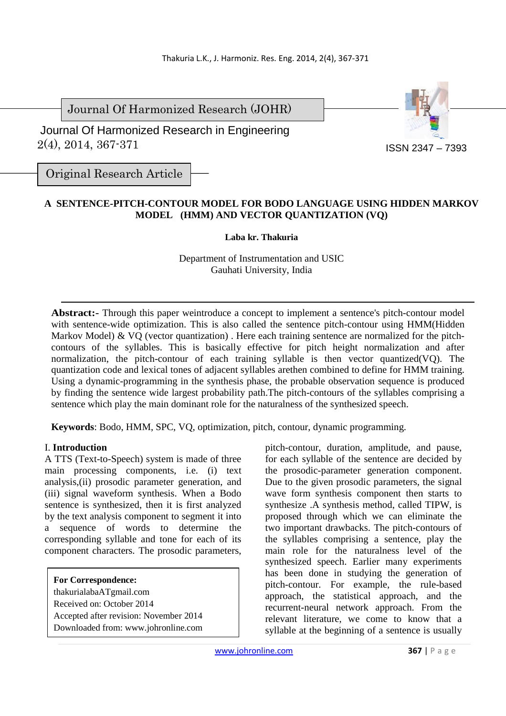Journal Of Harmonized Research (JOHR)

 2(4), 2014, 367-371 Journal Of Harmonized Research in Engineering



Original Research Article

# **A SENTENCE-PITCH-CONTOUR MODEL FOR BODO LANGUAGE USING HIDDEN MARKOV MODEL (HMM) AND VECTOR QUANTIZATION (VQ)**

## **Laba kr. Thakuria**

Department of Instrumentation and USIC Gauhati University, India

**Abstract:-** Through this paper weintroduce a concept to implement a sentence's pitch-contour model with sentence-wide optimization. This is also called the sentence pitch-contour using HMM(Hidden Markov Model) & VQ (vector quantization). Here each training sentence are normalized for the pitchcontours of the syllables. This is basically effective for pitch height normalization and after normalization, the pitch-contour of each training syllable is then vector quantized(VQ). The quantization code and lexical tones of adjacent syllables arethen combined to define for HMM training. Using a dynamic-programming in the synthesis phase, the probable observation sequence is produced by finding the sentence wide largest probability path.The pitch-contours of the syllables comprising a sentence which play the main dominant role for the naturalness of the synthesized speech.

**Keywords**: Bodo, HMM, SPC, VQ, optimization, pitch, contour, dynamic programming.

## I. **Introduction**

A TTS (Text-to-Speech) system is made of three main processing components, i.e. (i) text analysis,(ii) prosodic parameter generation, and (iii) signal waveform synthesis. When a Bodo sentence is synthesized, then it is first analyzed by the text analysis component to segment it into a sequence of words to determine the corresponding syllable and tone for each of its component characters. The prosodic parameters,

**For Correspondence:**  thakurialabaATgmail.com Received on: October 2014 Accepted after revision: November 2014 Downloaded from: www.johronline.com pitch-contour, duration, amplitude, and pause, for each syllable of the sentence are decided by the prosodic-parameter generation component. Due to the given prosodic parameters, the signal wave form synthesis component then starts to synthesize .A synthesis method, called TIPW, is proposed through which we can eliminate the two important drawbacks. The pitch-contours of the syllables comprising a sentence, play the main role for the naturalness level of the synthesized speech. Earlier many experiments has been done in studying the generation of pitch-contour. For example, the rule-based approach, the statistical approach, and the recurrent-neural network approach. From the relevant literature, we come to know that a syllable at the beginning of a sentence is usually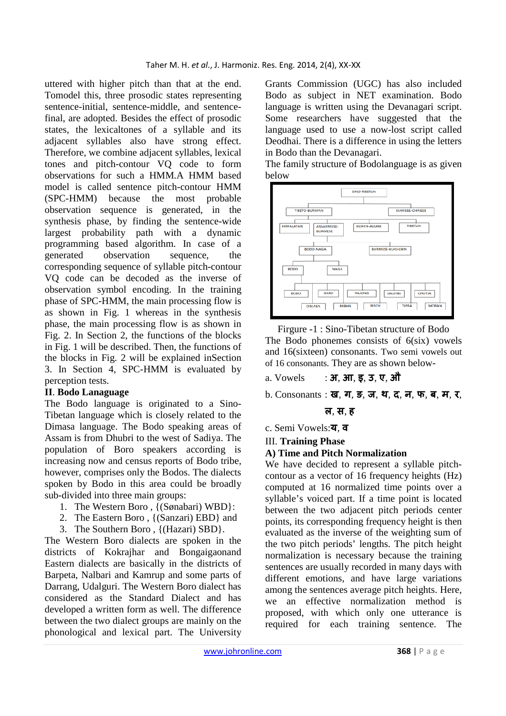uttered with higher pitch than that at the end. Tomodel this, three prosodic states representing sentence-initial, sentence-middle, and sentencefinal, are adopted. Besides the effect of prosodic states, the lexicaltones of a syllable and its adjacent syllables also have strong effect. Therefore, we combine adjacent syllables, lexical tones and pitch-contour VQ code to form observations for such a HMM.A HMM based model is called sentence pitch-contour HMM (SPC-HMM) because the most probable observation sequence is generated, in the synthesis phase, by finding the sentence-wide largest probability path with a dynamic programming based algorithm. In case of a generated observation sequence, the corresponding sequence of syllable pitch-contour VQ code can be decoded as the inverse of observation symbol encoding. In the training phase of SPC-HMM, the main processing flow is as shown in Fig. 1 whereas in the synthesis phase, the main processing flow is as shown in Fig. 2. In Section 2, the functions of the blocks in Fig. 1 will be described. Then, the functions of the blocks in Fig. 2 will be explained inSection 3. In Section 4, SPC-HMM is evaluated by perception tests.

## **II**. **Bodo Lanaguage**

The Bodo language is originated to a Sino-Tibetan language which is closely related to the Dimasa language. The Bodo speaking areas of Assam is from Dhubri to the west of Sadiya. The population of Boro speakers according is increasing now and census reports of Bodo tribe, however, comprises only the Bodos. The dialects spoken by Bodo in this area could be broadly sub-divided into three main groups:

- 1. The Western Boro , {(Sønabari) WBD}:
- 2. The Eastern Boro , {(Sanzari) EBD} and
- 3. The Southern Boro , {(Hazari) SBD}.

The Western Boro dialects are spoken in the districts of Kokrajhar and Bongaigaonand Eastern dialects are basically in the districts of Barpeta, Nalbari and Kamrup and some parts of Darrang, Udalguri. The Western Boro dialect has considered as the Standard Dialect and has developed a written form as well. The difference between the two dialect groups are mainly on the phonological and lexical part. The University Grants Commission (UGC) has also included Bodo as subject in NET examination. Bodo language is written using the Devanagari script. Some researchers have suggested that the language used to use a now-lost script called Deodhai. There is a difference in using the letters in Bodo than the Devanagari.

The family structure of Bodolanguage is as given below



Firgure -1 : Sino-Tibetan structure of Bodo The Bodo phonemes consists of 6(six) vowels and 16(sixteen) consonants. Two semi vowels out of 16 consonants. They are as shown below-

- a. Vowels : **अ**, **आ**, **इ**, **उ**, **ए**, **औ**
- b. Consonants : **ख**, **ग**, **ङ**, **ज**, **थ**, **द**, **न**, **फ**, **ब**, **म**, **र**,

## **ल**, **स**, **ह**

c. Semi Vowels:**य**, **व**

## III. **Training Phase**

## **A) Time and Pitch Normalization**

We have decided to represent a syllable pitchcontour as a vector of 16 frequency heights (Hz) computed at 16 normalized time points over a syllable's voiced part. If a time point is located between the two adjacent pitch periods center points, its corresponding frequency height is then evaluated as the inverse of the weighting sum of the two pitch periods' lengths. The pitch height normalization is necessary because the training sentences are usually recorded in many days with different emotions, and have large variations among the sentences average pitch heights. Here, we an effective normalization method is proposed, with which only one utterance is required for each training sentence. The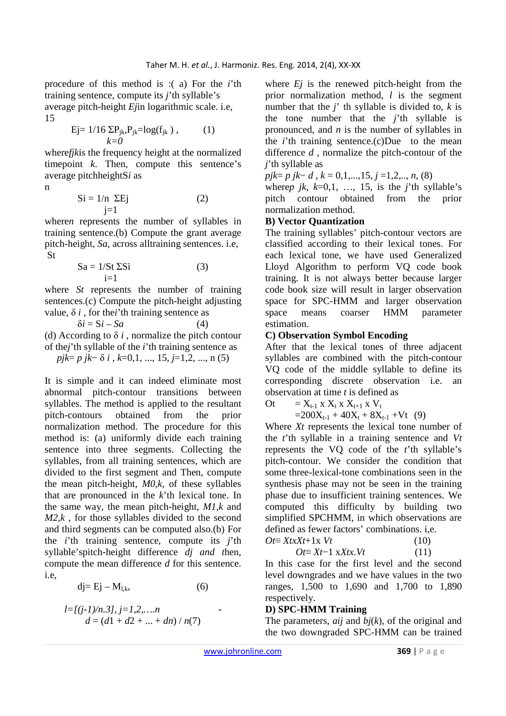procedure of this method is :( a) For the *i*'th training sentence, compute its *j*'th syllable's

average pitch-height *Ej*in logarithmic scale. i.e, 15

$$
\text{Ej}=1/16 \ \Sigma P_{jk} P_{jk} = \log(f_{jk}), \qquad (1) \\ k=0
$$

where*fjk*is the frequency height at the normalized timepoint *k*. Then, compute this sentence's average pitchheightS*i* as

n

$$
Si = 1/n \ \Sigma Ej
$$
 (2)

where*n* represents the number of syllables in training sentence.(b) Compute the grant average pitch-height, *Sa*, across alltraining sentences. i.e, St

$$
Sa = 1/St \Sigma Si
$$
 (3)

where *St* represents the number of training sentences.(c) Compute the pitch-height adjusting value,  $\delta i$ , for the*i*'th training sentence as

 $\delta i = \mathrm{S}i - \mathrm{S}a$  (4) (d) According to  $\delta i$ , normalize the pitch contour of the*j*'th syllable of the *i*'th training sentence as *pjk*= *p jk*− δ *i* , *k*=0,1, ..., 15, *j*=1,2, ..., n (5)

It is simple and it can indeed eliminate most abnormal pitch-contour transitions between syllables. The method is applied to the resultant pitch-contours obtained from the prior normalization method. The procedure for this method is: (a) uniformly divide each training sentence into three segments. Collecting the syllables, from all training sentences, which are divided to the first segment and Then, compute the mean pitch-height, *M0,k,* of these syllables that are pronounced in the *k*'th lexical tone. In the same way, the mean pitch-height, *M1,k* and *M2,k*, for those syllables divided to the second and third segments can be computed also.(b) For the *i*'th training sentence, compute its *j*'th syllable'spitch-height difference *dj and t*hen, compute the mean difference *d* for this sentence. i.e,

$$
dj = Ej - M_{l,k}, \t\t(6)
$$

$$
l = \frac{[(j-1)/n.3]}{j} = 1, 2, \ldots, n
$$
  
 $d = (d1 + d2 + \ldots + dn) / n(7)$ 

where *Ej* is the renewed pitch-height from the prior normalization method, *l* is the segment number that the *j*' th syllable is divided to, *k* is the tone number that the *j*'th syllable is pronounced, and *n* is the number of syllables in the *i*'th training sentence.(c)Due to the mean difference *d* , normalize the pitch-contour of the *j*'th syllable as

*pjk*= *p jk*− *d* , *k* = 0,1,...,15, *j* =1,2,.., *n*, (8)

where*p jk*,  $k=0,1, \ldots, 15$ , is the *j*'th syllable's pitch contour obtained from the prior normalization method.

## **B) Vector Quantization**

The training syllables' pitch-contour vectors are classified according to their lexical tones. For each lexical tone, we have used Generalized Lloyd Algorithm to perform VQ code book training. It is not always better because larger code book size will result in larger observation space for SPC-HMM and larger observation space means coarser HMM parameter estimation.

#### **C) Observation Symbol Encoding**

After that the lexical tones of three adjacent syllables are combined with the pitch-contour VQ code of the middle syllable to define its corresponding discrete observation i.e. an observation at time *t* is defined as

$$
Ot = X_{t-1} \times X_t \times X_{t+1} \times V_t
$$

 $=200X_{t-1} + 40X_t + 8X_{t-1} + Vt$  (9)

Where *Xt* represents the lexical tone number of the *t*'th syllable in a training sentence and *Vt*  represents the VQ code of the *t*'th syllable's pitch-contour. We consider the condition that some three-lexical-tone combinations seen in the synthesis phase may not be seen in the training phase due to insufficient training sentences. We computed this difficulty by building two simplified SPCHMM, in which observations are defined as fewer factors' combinations. i,e.  $Ot \equiv XtxXt+1x \; Vt$  (10)

$$
Ot = Xt-1 \times Xtx.Vt \tag{10}
$$

In this case for the first level and the second level downgrades and we have values in the two ranges, 1,500 to 1,690 and 1,700 to 1,890 respectively.

## **D) SPC-HMM Training**

The parameters, *aij* and *bj*(*k*), of the original and the two downgraded SPC-HMM can be trained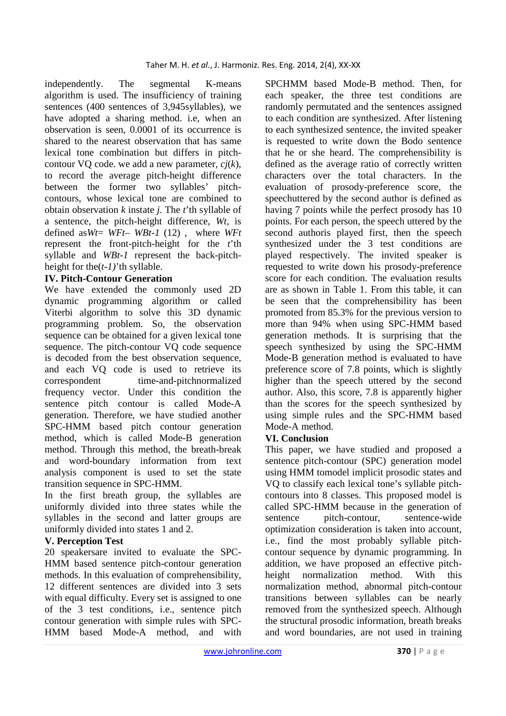independently. The segmental K-means algorithm is used. The insufficiency of training sentences (400 sentences of 3,945syllables), we have adopted a sharing method. i.e, when an observation is seen, 0.0001 of its occurrence is shared to the nearest observation that has same lexical tone combination but differs in pitchcontour VQ code. we add a new parameter, *cj*(*k*), to record the average pitch-height difference between the former two syllables' pitchcontours, whose lexical tone are combined to obtain observation *k* instate *j*. The *t*'th syllable of a sentence, the pitch-height difference, *Wt*, is defined as*Wt*= *WFt*– *WBt-1* (12) , where *WFt*  represent the front-pitch-height for the *t*'th syllable and *WBt-1* represent the back-pitchheight for the(*t-1)*'th syllable.

## **IV. Pitch-Contour Generation**

We have extended the commonly used 2D dynamic programming algorithm or called Viterbi algorithm to solve this 3D dynamic programming problem. So, the observation sequence can be obtained for a given lexical tone sequence. The pitch-contour VQ code sequence is decoded from the best observation sequence, and each VQ code is used to retrieve its correspondent time-and-pitchnormalized frequency vector. Under this condition the sentence pitch contour is called Mode-A generation. Therefore, we have studied another SPC-HMM based pitch contour generation method, which is called Mode-B generation method. Through this method, the breath-break and word-boundary information from text analysis component is used to set the state transition sequence in SPC-HMM.

In the first breath group, the syllables are uniformly divided into three states while the syllables in the second and latter groups are uniformly divided into states 1 and 2.

## **V. Perception Test**

20 speakersare invited to evaluate the SPC-HMM based sentence pitch-contour generation methods. In this evaluation of comprehensibility, 12 different sentences are divided into 3 sets with equal difficulty. Every set is assigned to one of the 3 test conditions, i.e., sentence pitch contour generation with simple rules with SPC-HMM based Mode-A method, and with

SPCHMM based Mode-B method. Then, for each speaker, the three test conditions are randomly permutated and the sentences assigned to each condition are synthesized. After listening to each synthesized sentence, the invited speaker is requested to write down the Bodo sentence that he or she heard. The comprehensibility is defined as the average ratio of correctly written characters over the total characters. In the evaluation of prosody-preference score, the speechuttered by the second author is defined as having 7 points while the perfect prosody has 10 points. For each person, the speech uttered by the second authoris played first, then the speech synthesized under the 3 test conditions are played respectively. The invited speaker is requested to write down his prosody-preference score for each condition. The evaluation results are as shown in Table 1. From this table, it can be seen that the comprehensibility has been promoted from 85.3% for the previous version to more than 94% when using SPC-HMM based generation methods. It is surprising that the speech synthesized by using the SPC-HMM Mode-B generation method is evaluated to have preference score of 7.8 points, which is slightly higher than the speech uttered by the second author. Also, this score, 7.8 is apparently higher than the scores for the speech synthesized by using simple rules and the SPC-HMM based Mode-A method.

## **VI. Conclusion**

This paper, we have studied and proposed a sentence pitch-contour (SPC) generation model using HMM tomodel implicit prosodic states and VQ to classify each lexical tone's syllable pitchcontours into 8 classes. This proposed model is called SPC-HMM because in the generation of sentence pitch-contour, sentence-wide optimization consideration is taken into account, i.e., find the most probably syllable pitchcontour sequence by dynamic programming. In addition, we have proposed an effective pitchheight normalization method. With this normalization method, abnormal pitch-contour transitions between syllables can be nearly removed from the synthesized speech. Although the structural prosodic information, breath breaks and word boundaries, are not used in training